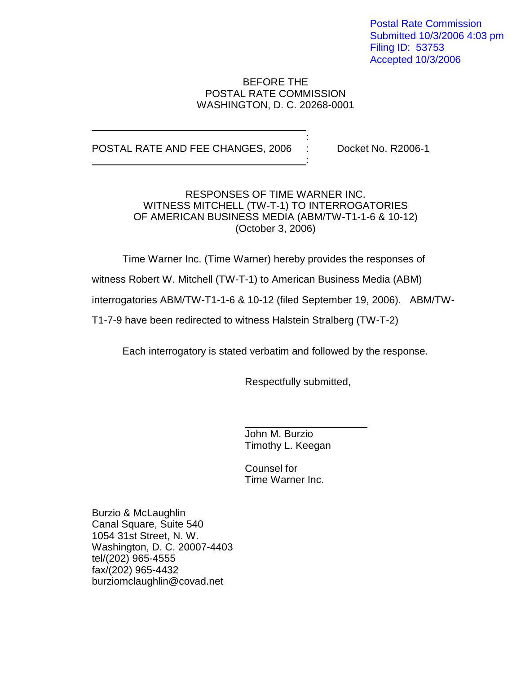Postal Rate Commission Submitted 10/3/2006 4:03 pm Filing ID: 53753 Accepted 10/3/2006

#### BEFORE THE POSTAL RATE COMMISSION WASHINGTON, D. C. 20268-0001

:

:

#### POSTAL RATE AND FEE CHANGES, 2006 : Docket No. R2006-1

RESPONSES OF TIME WARNER INC. WITNESS MITCHELL (TW-T-1) TO INTERROGATORIES OF AMERICAN BUSINESS MEDIA (ABM/TW-T1-1-6 & 10-12) (October 3, 2006)

Time Warner Inc. (Time Warner) hereby provides the responses of

witness Robert W. Mitchell (TW-T-1) to American Business Media (ABM)

interrogatories ABM/TW-T1-1-6 & 10-12 (filed September 19, 2006). ABM/TW-

T1-7-9 have been redirected to witness Halstein Stralberg (TW-T-2)

Each interrogatory is stated verbatim and followed by the response.

Respectfully submitted,

John M. Burzio Timothy L. Keegan

Counsel for Time Warner Inc.

Burzio & McLaughlin Canal Square, Suite 540 1054 31st Street, N. W. Washington, D. C. 20007-4403 tel/(202) 965-4555 fax/(202) 965-4432 burziomclaughlin@covad.net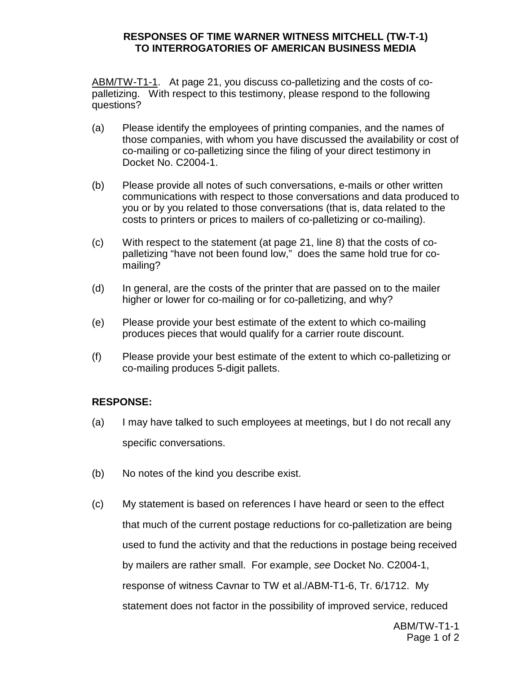ABM/TW-T1-1. At page 21, you discuss co-palletizing and the costs of copalletizing. With respect to this testimony, please respond to the following questions?

- (a) Please identify the employees of printing companies, and the names of those companies, with whom you have discussed the availability or cost of co-mailing or co-palletizing since the filing of your direct testimony in Docket No. C2004-1.
- (b) Please provide all notes of such conversations, e-mails or other written communications with respect to those conversations and data produced to you or by you related to those conversations (that is, data related to the costs to printers or prices to mailers of co-palletizing or co-mailing).
- (c) With respect to the statement (at page 21, line 8) that the costs of copalletizing "have not been found low," does the same hold true for comailing?
- (d) In general, are the costs of the printer that are passed on to the mailer higher or lower for co-mailing or for co-palletizing, and why?
- (e) Please provide your best estimate of the extent to which co-mailing produces pieces that would qualify for a carrier route discount.
- (f) Please provide your best estimate of the extent to which co-palletizing or co-mailing produces 5-digit pallets.

# **RESPONSE:**

- (a) I may have talked to such employees at meetings, but I do not recall any specific conversations.
- (b) No notes of the kind you describe exist.
- (c) My statement is based on references I have heard or seen to the effect that much of the current postage reductions for co-palletization are being used to fund the activity and that the reductions in postage being received by mailers are rather small. For example, see Docket No. C2004-1, response of witness Cavnar to TW et al./ABM-T1-6, Tr. 6/1712. My statement does not factor in the possibility of improved service, reduced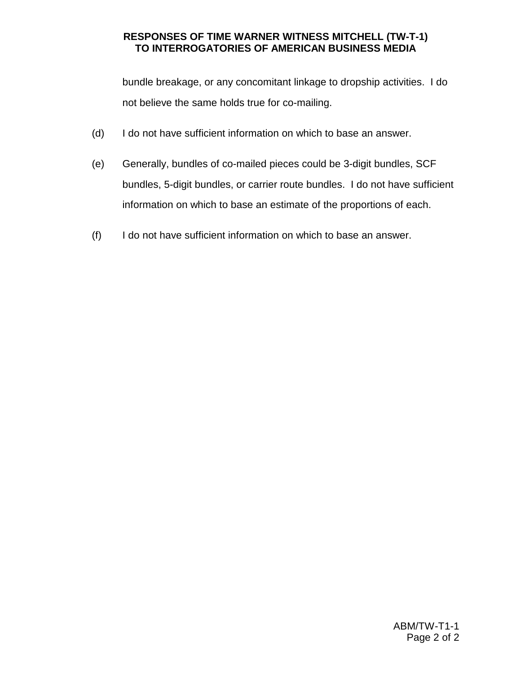bundle breakage, or any concomitant linkage to dropship activities. I do not believe the same holds true for co-mailing.

- (d) I do not have sufficient information on which to base an answer.
- (e) Generally, bundles of co-mailed pieces could be 3-digit bundles, SCF bundles, 5-digit bundles, or carrier route bundles. I do not have sufficient information on which to base an estimate of the proportions of each.
- (f) I do not have sufficient information on which to base an answer.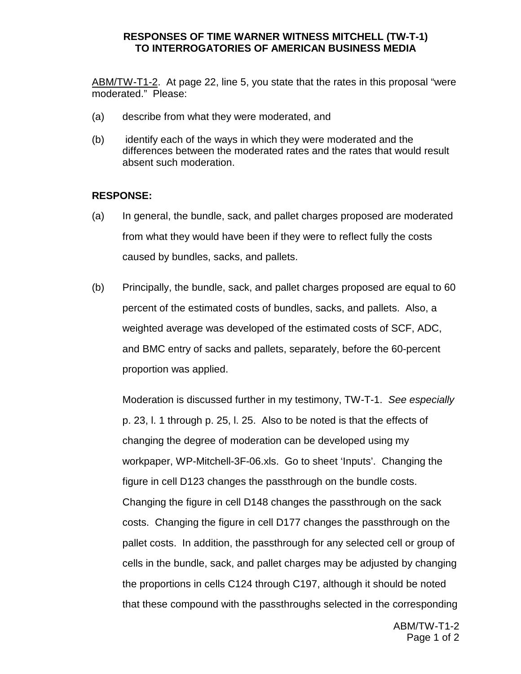ABM/TW-T1-2. At page 22, line 5, you state that the rates in this proposal "were moderated." Please:

- (a) describe from what they were moderated, and
- (b) identify each of the ways in which they were moderated and the differences between the moderated rates and the rates that would result absent such moderation.

### **RESPONSE:**

- (a) In general, the bundle, sack, and pallet charges proposed are moderated from what they would have been if they were to reflect fully the costs caused by bundles, sacks, and pallets.
- (b) Principally, the bundle, sack, and pallet charges proposed are equal to 60 percent of the estimated costs of bundles, sacks, and pallets. Also, a weighted average was developed of the estimated costs of SCF, ADC, and BMC entry of sacks and pallets, separately, before the 60-percent proportion was applied.

Moderation is discussed further in my testimony, TW-T-1. See especially p. 23, l. 1 through p. 25, l. 25. Also to be noted is that the effects of changing the degree of moderation can be developed using my workpaper, WP-Mitchell-3F-06.xls. Go to sheet 'Inputs'. Changing the figure in cell D123 changes the passthrough on the bundle costs. Changing the figure in cell D148 changes the passthrough on the sack costs. Changing the figure in cell D177 changes the passthrough on the pallet costs. In addition, the passthrough for any selected cell or group of cells in the bundle, sack, and pallet charges may be adjusted by changing the proportions in cells C124 through C197, although it should be noted that these compound with the passthroughs selected in the corresponding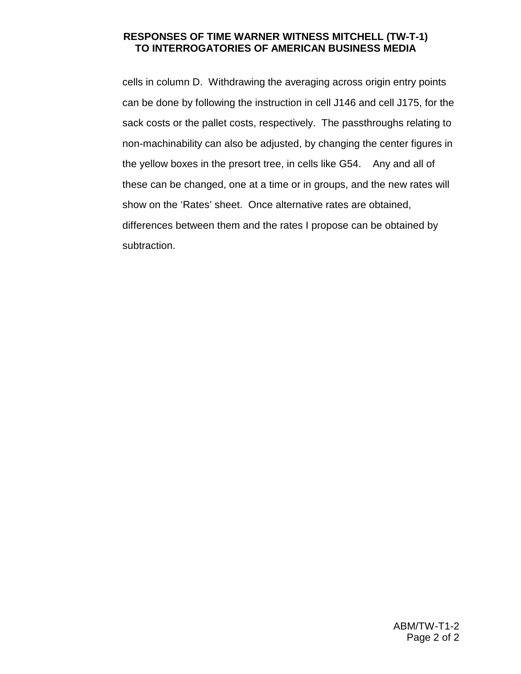cells in column D. Withdrawing the averaging across origin entry points can be done by following the instruction in cell J146 and cell J175, for the sack costs or the pallet costs, respectively. The passthroughs relating to non-machinability can also be adjusted, by changing the center figures in the yellow boxes in the presort tree, in cells like G54. Any and all of these can be changed, one at a time or in groups, and the new rates will show on the 'Rates' sheet. Once alternative rates are obtained, differences between them and the rates I propose can be obtained by subtraction.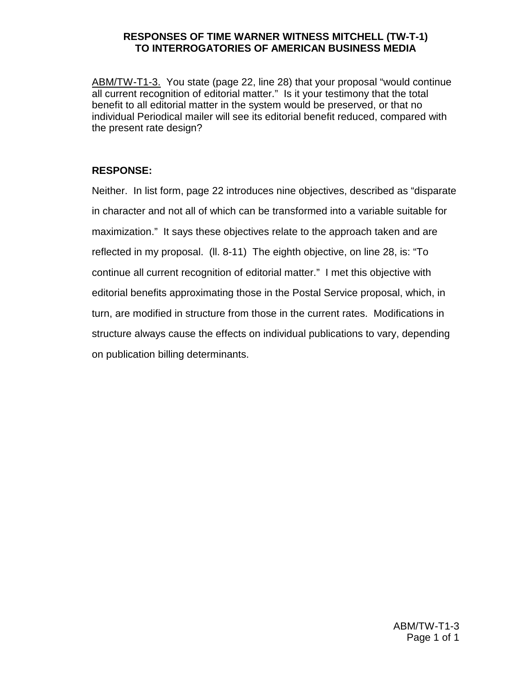ABM/TW-T1-3. You state (page 22, line 28) that your proposal "would continue all current recognition of editorial matter." Is it your testimony that the total benefit to all editorial matter in the system would be preserved, or that no individual Periodical mailer will see its editorial benefit reduced, compared with the present rate design?

# **RESPONSE:**

Neither. In list form, page 22 introduces nine objectives, described as "disparate in character and not all of which can be transformed into a variable suitable for maximization." It says these objectives relate to the approach taken and are reflected in my proposal. (ll. 8-11) The eighth objective, on line 28, is: "To continue all current recognition of editorial matter." I met this objective with editorial benefits approximating those in the Postal Service proposal, which, in turn, are modified in structure from those in the current rates. Modifications in structure always cause the effects on individual publications to vary, depending on publication billing determinants.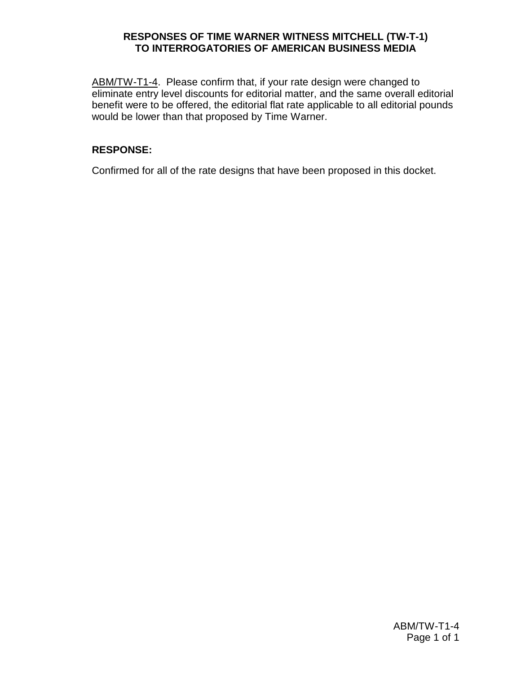ABM/TW-T1-4. Please confirm that, if your rate design were changed to eliminate entry level discounts for editorial matter, and the same overall editorial benefit were to be offered, the editorial flat rate applicable to all editorial pounds would be lower than that proposed by Time Warner.

## **RESPONSE:**

Confirmed for all of the rate designs that have been proposed in this docket.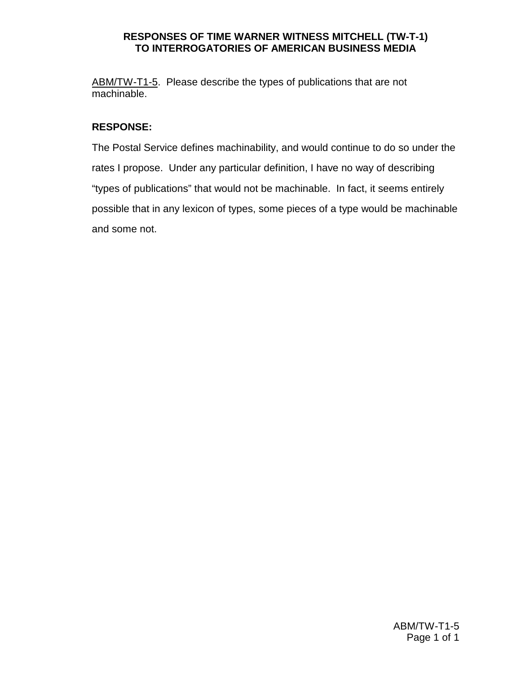ABM/TW-T1-5. Please describe the types of publications that are not machinable.

## **RESPONSE:**

The Postal Service defines machinability, and would continue to do so under the rates I propose. Under any particular definition, I have no way of describing "types of publications" that would not be machinable. In fact, it seems entirely possible that in any lexicon of types, some pieces of a type would be machinable and some not.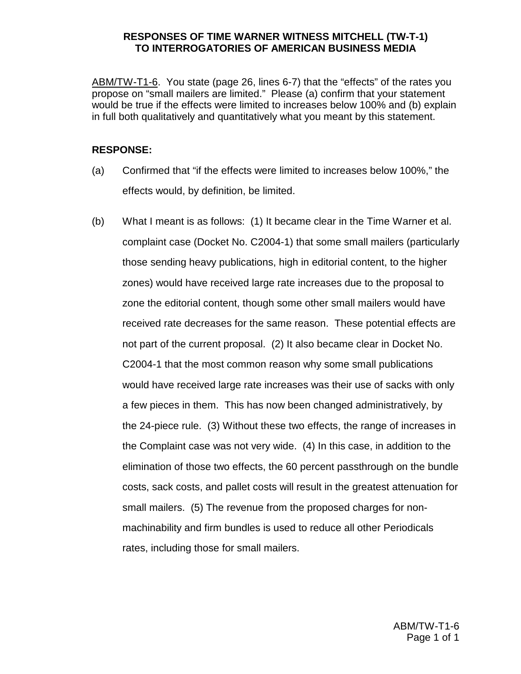ABM/TW-T1-6. You state (page 26, lines 6-7) that the "effects" of the rates you propose on "small mailers are limited." Please (a) confirm that your statement would be true if the effects were limited to increases below 100% and (b) explain in full both qualitatively and quantitatively what you meant by this statement.

#### **RESPONSE:**

- (a) Confirmed that "if the effects were limited to increases below 100%," the effects would, by definition, be limited.
- (b) What I meant is as follows: (1) It became clear in the Time Warner et al. complaint case (Docket No. C2004-1) that some small mailers (particularly those sending heavy publications, high in editorial content, to the higher zones) would have received large rate increases due to the proposal to zone the editorial content, though some other small mailers would have received rate decreases for the same reason. These potential effects are not part of the current proposal. (2) It also became clear in Docket No. C2004-1 that the most common reason why some small publications would have received large rate increases was their use of sacks with only a few pieces in them. This has now been changed administratively, by the 24-piece rule. (3) Without these two effects, the range of increases in the Complaint case was not very wide. (4) In this case, in addition to the elimination of those two effects, the 60 percent passthrough on the bundle costs, sack costs, and pallet costs will result in the greatest attenuation for small mailers. (5) The revenue from the proposed charges for nonmachinability and firm bundles is used to reduce all other Periodicals rates, including those for small mailers.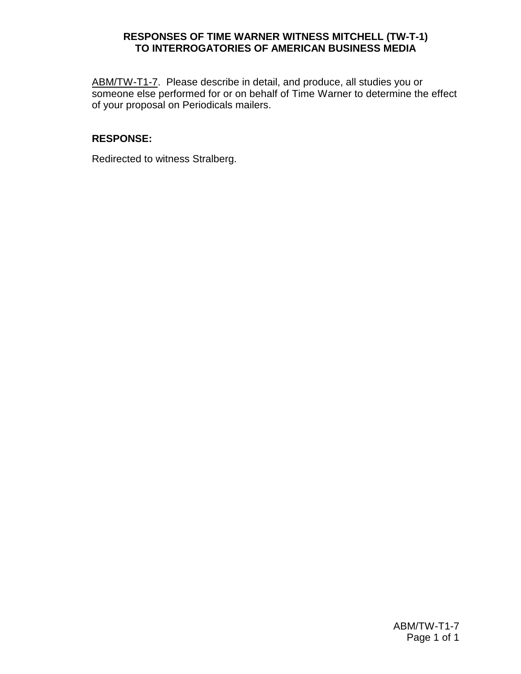ABM/TW-T1-7. Please describe in detail, and produce, all studies you or someone else performed for or on behalf of Time Warner to determine the effect of your proposal on Periodicals mailers.

### **RESPONSE:**

Redirected to witness Stralberg.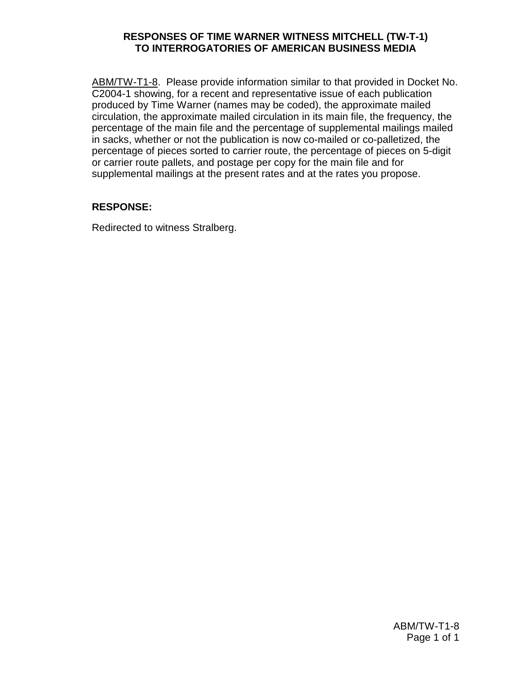ABM/TW-T1-8. Please provide information similar to that provided in Docket No. C2004-1 showing, for a recent and representative issue of each publication produced by Time Warner (names may be coded), the approximate mailed circulation, the approximate mailed circulation in its main file, the frequency, the percentage of the main file and the percentage of supplemental mailings mailed in sacks, whether or not the publication is now co-mailed or co-palletized, the percentage of pieces sorted to carrier route, the percentage of pieces on 5-digit or carrier route pallets, and postage per copy for the main file and for supplemental mailings at the present rates and at the rates you propose.

## **RESPONSE:**

Redirected to witness Stralberg.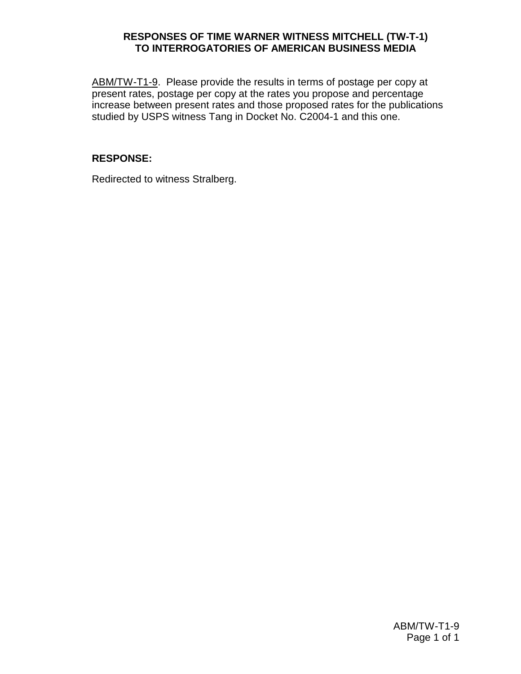ABM/TW-T1-9. Please provide the results in terms of postage per copy at present rates, postage per copy at the rates you propose and percentage increase between present rates and those proposed rates for the publications studied by USPS witness Tang in Docket No. C2004-1 and this one.

## **RESPONSE:**

Redirected to witness Stralberg.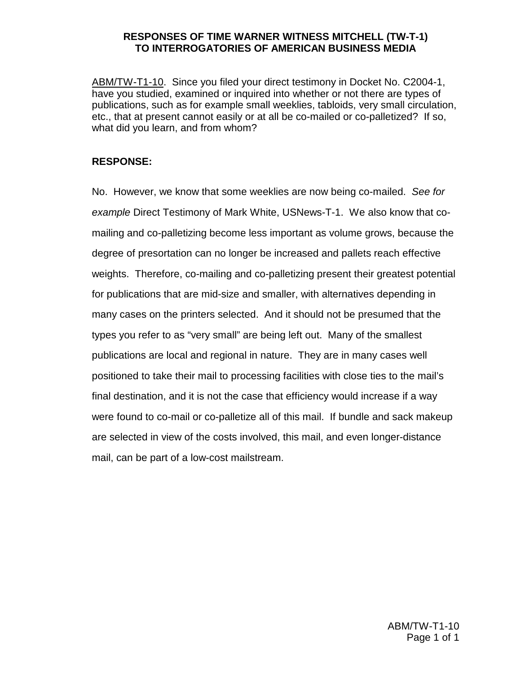ABM/TW-T1-10. Since you filed your direct testimony in Docket No. C2004-1, have you studied, examined or inquired into whether or not there are types of publications, such as for example small weeklies, tabloids, very small circulation, etc., that at present cannot easily or at all be co-mailed or co-palletized? If so, what did you learn, and from whom?

### **RESPONSE:**

No. However, we know that some weeklies are now being co-mailed. See for example Direct Testimony of Mark White, USNews-T-1. We also know that comailing and co-palletizing become less important as volume grows, because the degree of presortation can no longer be increased and pallets reach effective weights. Therefore, co-mailing and co-palletizing present their greatest potential for publications that are mid-size and smaller, with alternatives depending in many cases on the printers selected. And it should not be presumed that the types you refer to as "very small" are being left out. Many of the smallest publications are local and regional in nature. They are in many cases well positioned to take their mail to processing facilities with close ties to the mail's final destination, and it is not the case that efficiency would increase if a way were found to co-mail or co-palletize all of this mail. If bundle and sack makeup are selected in view of the costs involved, this mail, and even longer-distance mail, can be part of a low-cost mailstream.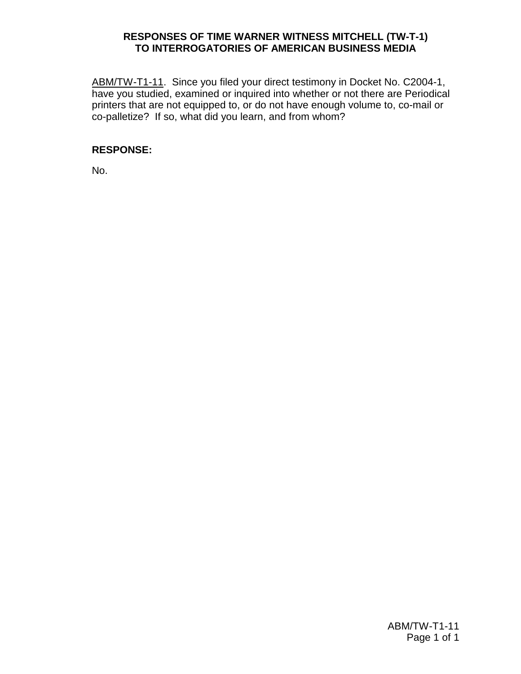ABM/TW-T1-11. Since you filed your direct testimony in Docket No. C2004-1, have you studied, examined or inquired into whether or not there are Periodical printers that are not equipped to, or do not have enough volume to, co-mail or co-palletize? If so, what did you learn, and from whom?

## **RESPONSE:**

No.